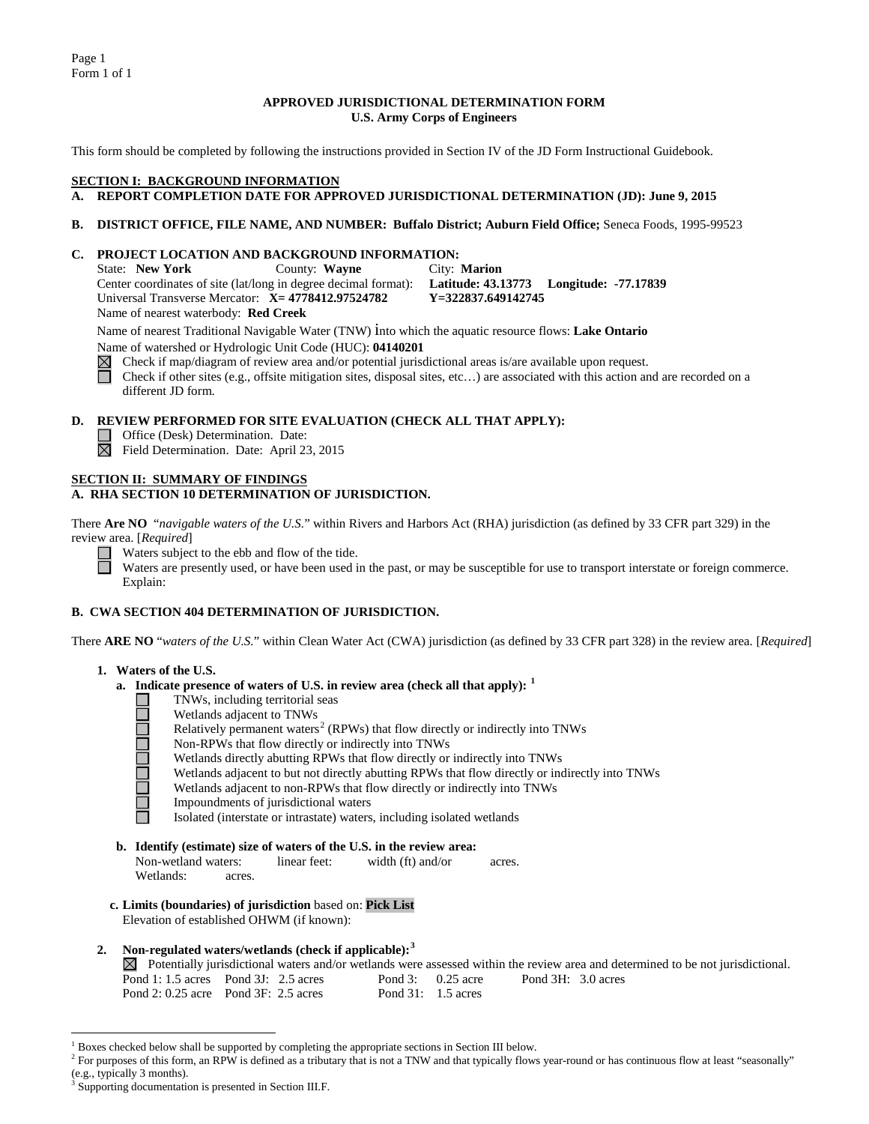Page 1 Form 1 of 1

## **APPROVED JURISDICTIONAL DETERMINATION FORM U.S. Army Corps of Engineers**

This form should be completed by following the instructions provided in Section IV of the JD Form Instructional Guidebook.

#### **SECTION I: BACKGROUND INFORMATION**

## **A. REPORT COMPLETION DATE FOR APPROVED JURISDICTIONAL DETERMINATION (JD): June 9, 2015**

#### **B. DISTRICT OFFICE, FILE NAME, AND NUMBER: Buffalo District; Auburn Field Office;** Seneca Foods, 1995-99523

#### **C. PROJECT LOCATION AND BACKGROUND INFORMATION:**

State: **New York** County: **Wayne** City: **Marion** Center coordinates of site (lat/long in degree decimal format): **Latitude: 43.13773 Longitude: -77.17839** Universal Transverse Mercator: **X= 4778412.97524782** Name of nearest waterbody: **Red Creek**

Name of nearest Traditional Navigable Water (TNW) into which the aquatic resource flows: **Lake Ontario** Name of watershed or Hydrologic Unit Code (HUC): **04140201**

Check if map/diagram of review area and/or potential jurisdictional areas is/are available upon request.  $\boxtimes$  $\Box$ Check if other sites (e.g., offsite mitigation sites, disposal sites, etc…) are associated with this action and are recorded on a

different JD form.

## **D. REVIEW PERFORMED FOR SITE EVALUATION (CHECK ALL THAT APPLY):**

- Office (Desk) Determination. Date:
- Field Determination. Date: April 23, 2015

#### **SECTION II: SUMMARY OF FINDINGS**

## **A. RHA SECTION 10 DETERMINATION OF JURISDICTION.**

There **Are NO** "*navigable waters of the U.S.*" within Rivers and Harbors Act (RHA) jurisdiction (as defined by 33 CFR part 329) in the review area. [*Required*]

Waters subject to the ebb and flow of the tide.

Waters are presently used, or have been used in the past, or may be susceptible for use to transport interstate or foreign commerce. Explain:

## **B. CWA SECTION 404 DETERMINATION OF JURISDICTION.**

There **ARE NO** "*waters of the U.S.*" within Clean Water Act (CWA) jurisdiction (as defined by 33 CFR part 328) in the review area. [*Required*]

#### **1. Waters of the U.S.**

- **a. Indicate presence of waters of U.S. in review area (check all that apply): [1](#page-0-0)**
	- IOOOOOO TNWs, including territorial seas
		- Wetlands adjacent to TNWs
		- Relatively permanent waters<sup>[2](#page-0-1)</sup> (RPWs) that flow directly or indirectly into TNWs
		- Non-RPWs that flow directly or indirectly into TNWs
		- Wetlands directly abutting RPWs that flow directly or indirectly into TNWs
		- Wetlands adjacent to but not directly abutting RPWs that flow directly or indirectly into TNWs
		- Wetlands adjacent to non-RPWs that flow directly or indirectly into TNWs
		- Impoundments of jurisdictional waters
		- Isolated (interstate or intrastate) waters, including isolated wetlands
- **b. Identify (estimate) size of waters of the U.S. in the review area:**

Non-wetland waters: linear feet: width (ft) and/or acres. Wetlands: acres.

**c. Limits (boundaries) of jurisdiction** based on: **Pick List** Elevation of established OHWM (if known):

## **2. Non-regulated waters/wetlands (check if applicable): [3](#page-0-2)**

 $\boxtimes$  Potentially jurisdictional waters and/or wetlands were assessed within the review area and determined to be not jurisdictional. Pond 1: 1.5 acres Pond 3J: 2.5 acres Pond 3: 0.25 acre Pond 3H: 3.0 acres Pond 2: 0.25 acre Pond 3F: 2.5 acres Pond 31: 1.5 acres Pond 2: 0.25 acre Pond 3F: 2.5 acres

 <sup>1</sup> Boxes checked below shall be supported by completing the appropriate sections in Section III below.

<span id="page-0-1"></span><span id="page-0-0"></span><sup>&</sup>lt;sup>2</sup> For purposes of this form, an RPW is defined as a tributary that is not a TNW and that typically flows year-round or has continuous flow at least "seasonally" (e.g., typically 3 months).

<span id="page-0-2"></span>Supporting documentation is presented in Section III.F.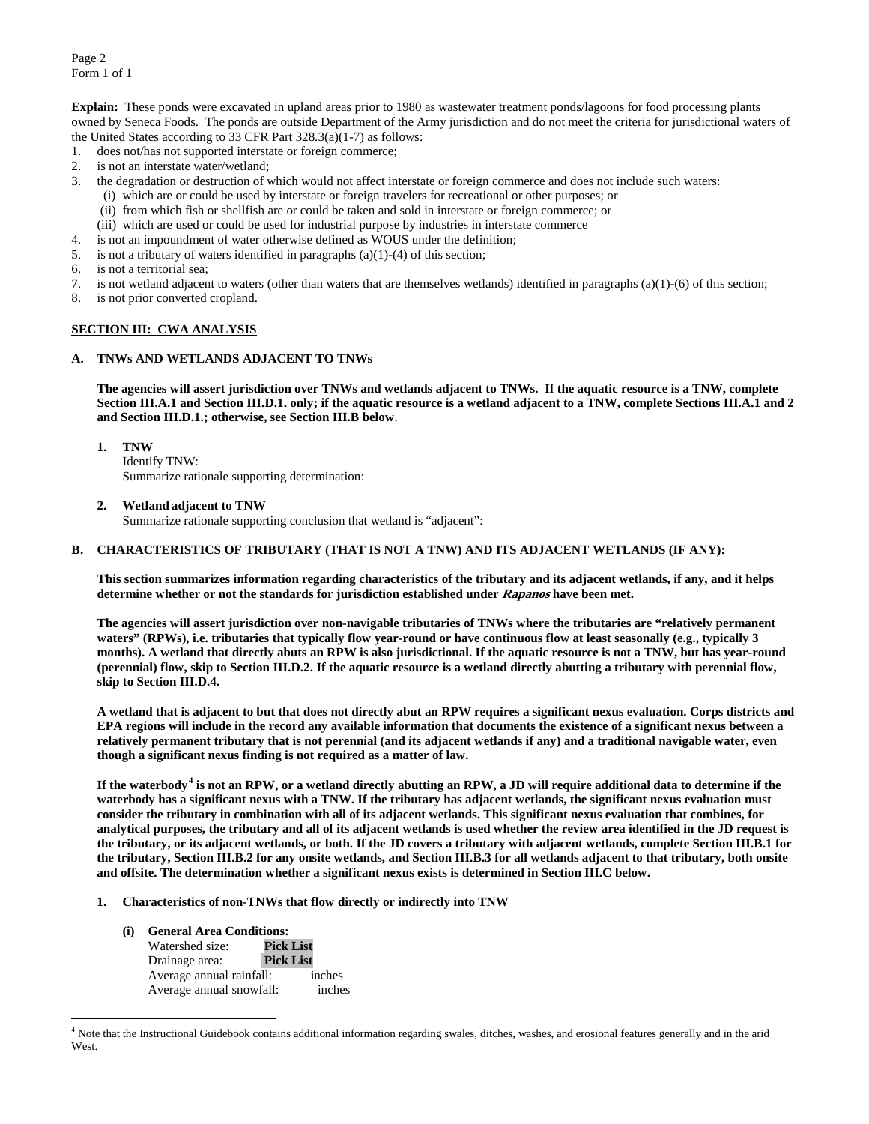**Explain:** These ponds were excavated in upland areas prior to 1980 as wastewater treatment ponds/lagoons for food processing plants owned by Seneca Foods. The ponds are outside Department of the Army jurisdiction and do not meet the criteria for jurisdictional waters of the United States according to 33 CFR Part 328.3(a)(1-7) as follows:

- 1. does not/has not supported interstate or foreign commerce;<br>2. is not an interstate water/wetland;
- is not an interstate water/wetland;
- 3. the degradation or destruction of which would not affect interstate or foreign commerce and does not include such waters:
	- (i) which are or could be used by interstate or foreign travelers for recreational or other purposes; or
	- (ii) from which fish or shellfish are or could be taken and sold in interstate or foreign commerce; or
	- (iii) which are used or could be used for industrial purpose by industries in interstate commerce
- 4. is not an impoundment of water otherwise defined as WOUS under the definition;
- 5. is not a tributary of waters identified in paragraphs (a)(1)-(4) of this section;
- 6. is not a territorial sea;
- 7. is not wetland adjacent to waters (other than waters that are themselves wetlands) identified in paragraphs (a)(1)-(6) of this section;
- 8. is not prior converted cropland.

## **SECTION III: CWA ANALYSIS**

## **A. TNWs AND WETLANDS ADJACENT TO TNWs**

**The agencies will assert jurisdiction over TNWs and wetlands adjacent to TNWs. If the aquatic resource is a TNW, complete Section III.A.1 and Section III.D.1. only; if the aquatic resource is a wetland adjacent to a TNW, complete Sections III.A.1 and 2 and Section III.D.1.; otherwise, see Section III.B below**.

## **1. TNW**

Identify TNW: Summarize rationale supporting determination:

**2. Wetland adjacent to TNW** 

Summarize rationale supporting conclusion that wetland is "adjacent":

## **B. CHARACTERISTICS OF TRIBUTARY (THAT IS NOT A TNW) AND ITS ADJACENT WETLANDS (IF ANY):**

**This section summarizes information regarding characteristics of the tributary and its adjacent wetlands, if any, and it helps determine whether or not the standards for jurisdiction established under Rapanos have been met.** 

**The agencies will assert jurisdiction over non-navigable tributaries of TNWs where the tributaries are "relatively permanent waters" (RPWs), i.e. tributaries that typically flow year-round or have continuous flow at least seasonally (e.g., typically 3 months). A wetland that directly abuts an RPW is also jurisdictional. If the aquatic resource is not a TNW, but has year-round (perennial) flow, skip to Section III.D.2. If the aquatic resource is a wetland directly abutting a tributary with perennial flow, skip to Section III.D.4.**

**A wetland that is adjacent to but that does not directly abut an RPW requires a significant nexus evaluation. Corps districts and EPA regions will include in the record any available information that documents the existence of a significant nexus between a relatively permanent tributary that is not perennial (and its adjacent wetlands if any) and a traditional navigable water, even though a significant nexus finding is not required as a matter of law.**

**If the waterbody[4](#page-1-0) is not an RPW, or a wetland directly abutting an RPW, a JD will require additional data to determine if the waterbody has a significant nexus with a TNW. If the tributary has adjacent wetlands, the significant nexus evaluation must consider the tributary in combination with all of its adjacent wetlands. This significant nexus evaluation that combines, for analytical purposes, the tributary and all of its adjacent wetlands is used whether the review area identified in the JD request is the tributary, or its adjacent wetlands, or both. If the JD covers a tributary with adjacent wetlands, complete Section III.B.1 for the tributary, Section III.B.2 for any onsite wetlands, and Section III.B.3 for all wetlands adjacent to that tributary, both onsite and offsite. The determination whether a significant nexus exists is determined in Section III.C below.**

- **1. Characteristics of non-TNWs that flow directly or indirectly into TNW**
	- **(i) General Area Conditions:** Watershed size: **Pick List**<br>Drainage area: **Pick List** Drainage area: **Pick List** Average annual rainfall: inches<br>Average annual snowfall: inches Average annual snowfall:

<span id="page-1-0"></span> <sup>4</sup> Note that the Instructional Guidebook contains additional information regarding swales, ditches, washes, and erosional features generally and in the arid West.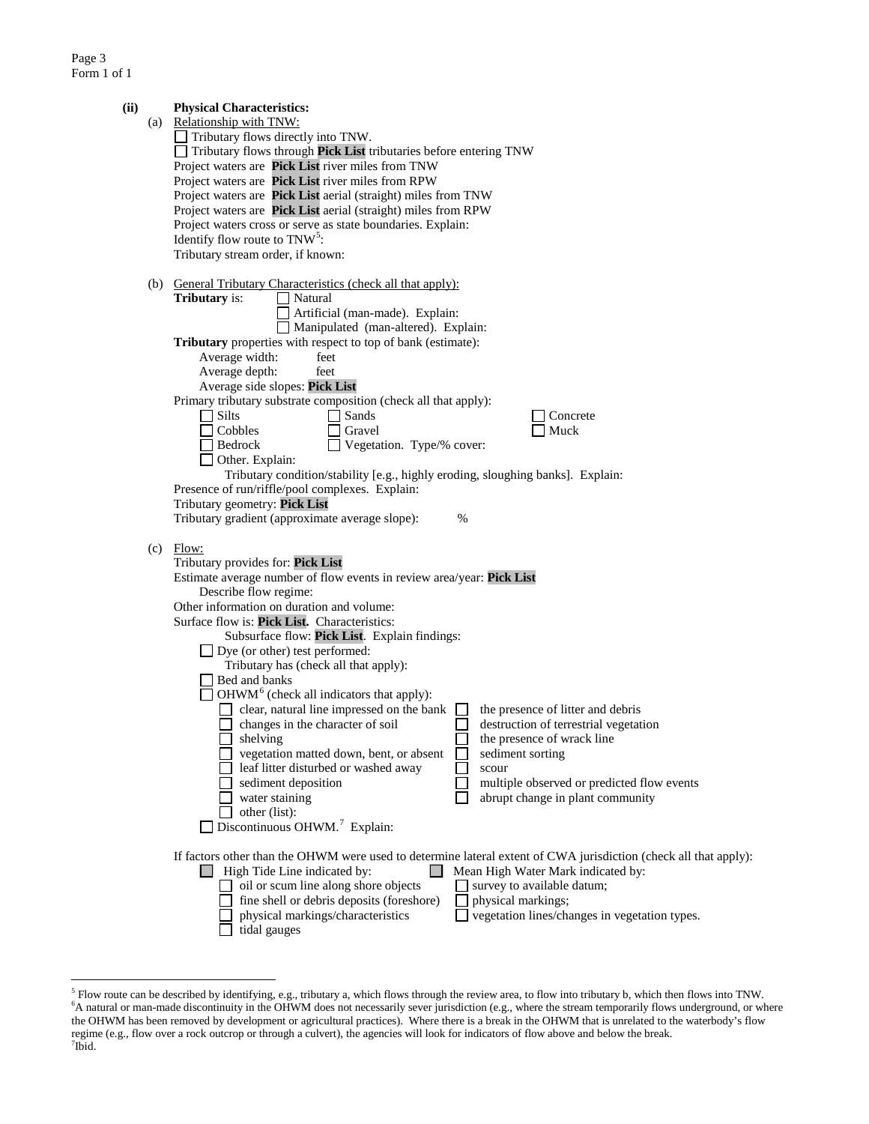| (ii) | (a) | <b>Physical Characteristics:</b><br>Relationship with TNW:<br>Tributary flows directly into TNW.<br>Tributary flows through Pick List tributaries before entering TNW<br>Project waters are Pick List river miles from TNW<br>Project waters are Pick List river miles from RPW<br>Project waters are Pick List aerial (straight) miles from TNW<br>Project waters are Pick List aerial (straight) miles from RPW<br>Project waters cross or serve as state boundaries. Explain:<br>Identify flow route to $TNW5$ :<br>Tributary stream order, if known:                                                                                                                                                                                                                                                                                                                                                                                                                                                                                                                                           |
|------|-----|----------------------------------------------------------------------------------------------------------------------------------------------------------------------------------------------------------------------------------------------------------------------------------------------------------------------------------------------------------------------------------------------------------------------------------------------------------------------------------------------------------------------------------------------------------------------------------------------------------------------------------------------------------------------------------------------------------------------------------------------------------------------------------------------------------------------------------------------------------------------------------------------------------------------------------------------------------------------------------------------------------------------------------------------------------------------------------------------------|
|      | (b) | General Tributary Characteristics (check all that apply):<br>Tributary is:<br>Natural<br>Artificial (man-made). Explain:<br>Manipulated (man-altered). Explain:<br>Tributary properties with respect to top of bank (estimate):<br>Average width:<br>feet<br>Average depth:<br>feet<br>Average side slopes: Pick List<br>Primary tributary substrate composition (check all that apply):<br>$\Box$ Silts<br>Sands<br>Concrete<br>Cobbles<br>Gravel<br>Muck<br>Vegetation. Type/% cover:<br>Bedrock<br>Other. Explain:<br>Tributary condition/stability [e.g., highly eroding, sloughing banks]. Explain:<br>Presence of run/riffle/pool complexes. Explain:<br>Tributary geometry: Pick List<br>Tributary gradient (approximate average slope):<br>%                                                                                                                                                                                                                                                                                                                                               |
|      | (c) | Flow:<br>Tributary provides for: Pick List<br>Estimate average number of flow events in review area/year: Pick List<br>Describe flow regime:<br>Other information on duration and volume:<br>Surface flow is: Pick List. Characteristics:<br>Subsurface flow: Pick List. Explain findings:<br>$\Box$ Dye (or other) test performed:<br>Tributary has (check all that apply):<br>Bed and banks<br>$\Box$ OHWM <sup>6</sup> (check all indicators that apply):<br>clear, natural line impressed on the bank<br>the presence of litter and debris<br>changes in the character of soil<br>destruction of terrestrial vegetation<br>shelving<br>the presence of wrack line<br>vegetation matted down, bent, or absent<br>sediment sorting<br>leaf litter disturbed or washed away<br>scour<br>multiple observed or predicted flow events<br>sediment deposition<br>abrupt change in plant community<br>water staining<br>other (list):<br>Discontinuous OHWM. <sup>7</sup> Explain:<br>If factors other than the OHWM were used to determine lateral extent of CWA jurisdiction (check all that apply): |
|      |     | High Tide Line indicated by:<br>Mean High Water Mark indicated by:<br>oil or scum line along shore objects<br>survey to available datum;<br>fine shell or debris deposits (foreshore)<br>physical markings;<br>vegetation lines/changes in vegetation types.<br>physical markings/characteristics<br>tidal gauges                                                                                                                                                                                                                                                                                                                                                                                                                                                                                                                                                                                                                                                                                                                                                                                  |

<span id="page-2-2"></span><span id="page-2-1"></span><span id="page-2-0"></span><sup>&</sup>lt;sup>5</sup> Flow route can be described by identifying, e.g., tributary a, which flows through the review area, to flow into tributary b, which then flows into TNW.<br><sup>6</sup>A natural or man-made discontinuity in the OHWM does not neces the OHWM has been removed by development or agricultural practices). Where there is a break in the OHWM that is unrelated to the waterbody's flow regime (e.g., flow over a rock outcrop or through a culvert), the agencies will look for indicators of flow above and below the break. <sup>7</sup>  $7$ Ibid.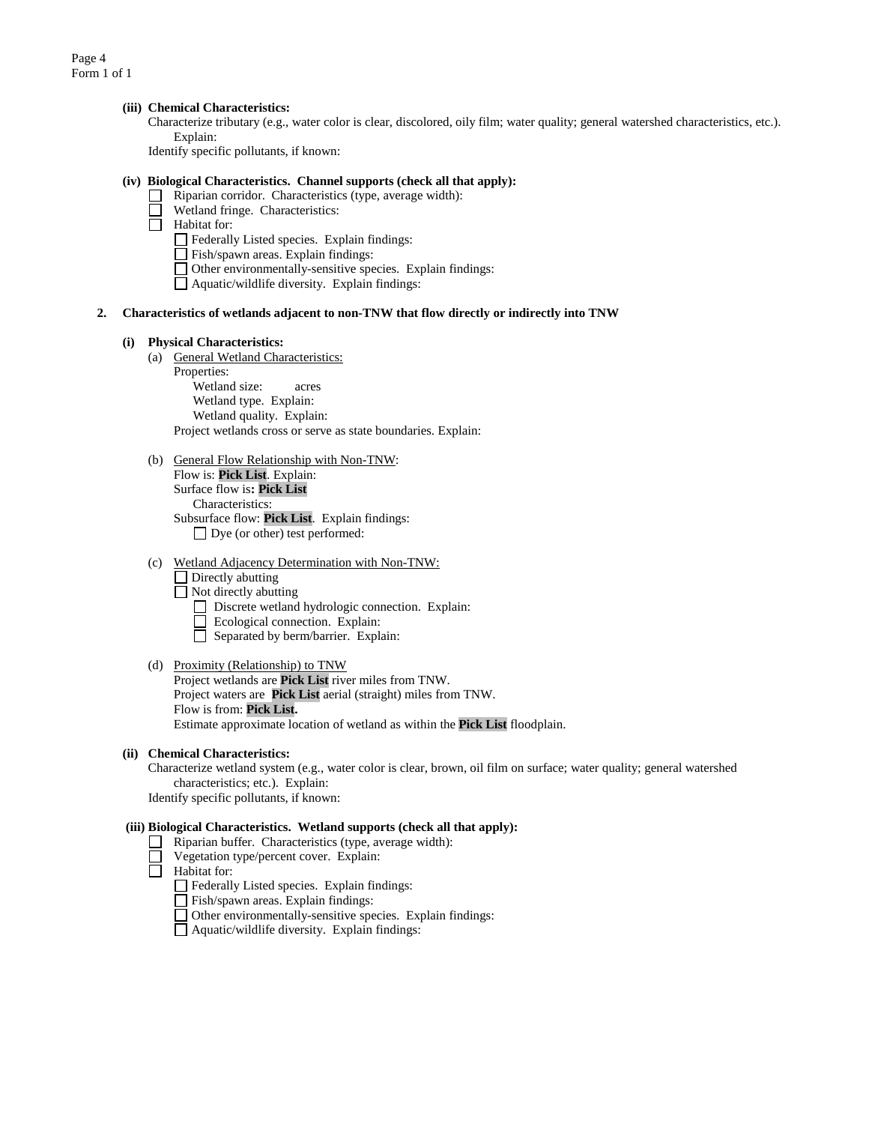## **(iii) Chemical Characteristics:**

Characterize tributary (e.g., water color is clear, discolored, oily film; water quality; general watershed characteristics, etc.). Explain:

Identify specific pollutants, if known:

#### **(iv) Biological Characteristics. Channel supports (check all that apply):**

- Riparian corridor. Characteristics (type, average width):
- Wetland fringe. Characteristics:
- $\overline{\Box}$  Habitat for:
	- Federally Listed species. Explain findings:
	- Fish/spawn areas. Explain findings:
	- Other environmentally-sensitive species. Explain findings:
	- Aquatic/wildlife diversity. Explain findings:

## **2. Characteristics of wetlands adjacent to non-TNW that flow directly or indirectly into TNW**

#### **(i) Physical Characteristics:**

- (a) General Wetland Characteristics:
	- Properties: Wetland size: acres Wetland type. Explain: Wetland quality. Explain: Project wetlands cross or serve as state boundaries. Explain:
- (b) General Flow Relationship with Non-TNW: Flow is: **Pick List**. Explain: Surface flow is**: Pick List**  Characteristics: Subsurface flow: **Pick List**. Explain findings:
	- Dye (or other) test performed:

## (c) Wetland Adjacency Determination with Non-TNW:

- $\Box$  Directly abutting
- $\Box$  Not directly abutting
	- Discrete wetland hydrologic connection. Explain:
	- Ecological connection. Explain:
	- Separated by berm/barrier. Explain:

#### (d) Proximity (Relationship) to TNW

Project wetlands are **Pick List** river miles from TNW. Project waters are **Pick List** aerial (straight) miles from TNW. Flow is from: **Pick List.** Estimate approximate location of wetland as within the **Pick List** floodplain.

#### **(ii) Chemical Characteristics:**

Characterize wetland system (e.g., water color is clear, brown, oil film on surface; water quality; general watershed characteristics; etc.). Explain: Identify specific pollutants, if known:

# **(iii) Biological Characteristics. Wetland supports (check all that apply):**

- $\Box$  Riparian buffer. Characteristics (type, average width):
- Vegetation type/percent cover. Explain:
- $\Box$  Habitat for:
	- Federally Listed species. Explain findings:
	- Fish/spawn areas. Explain findings:
	- Other environmentally-sensitive species. Explain findings:
	- Aquatic/wildlife diversity. Explain findings: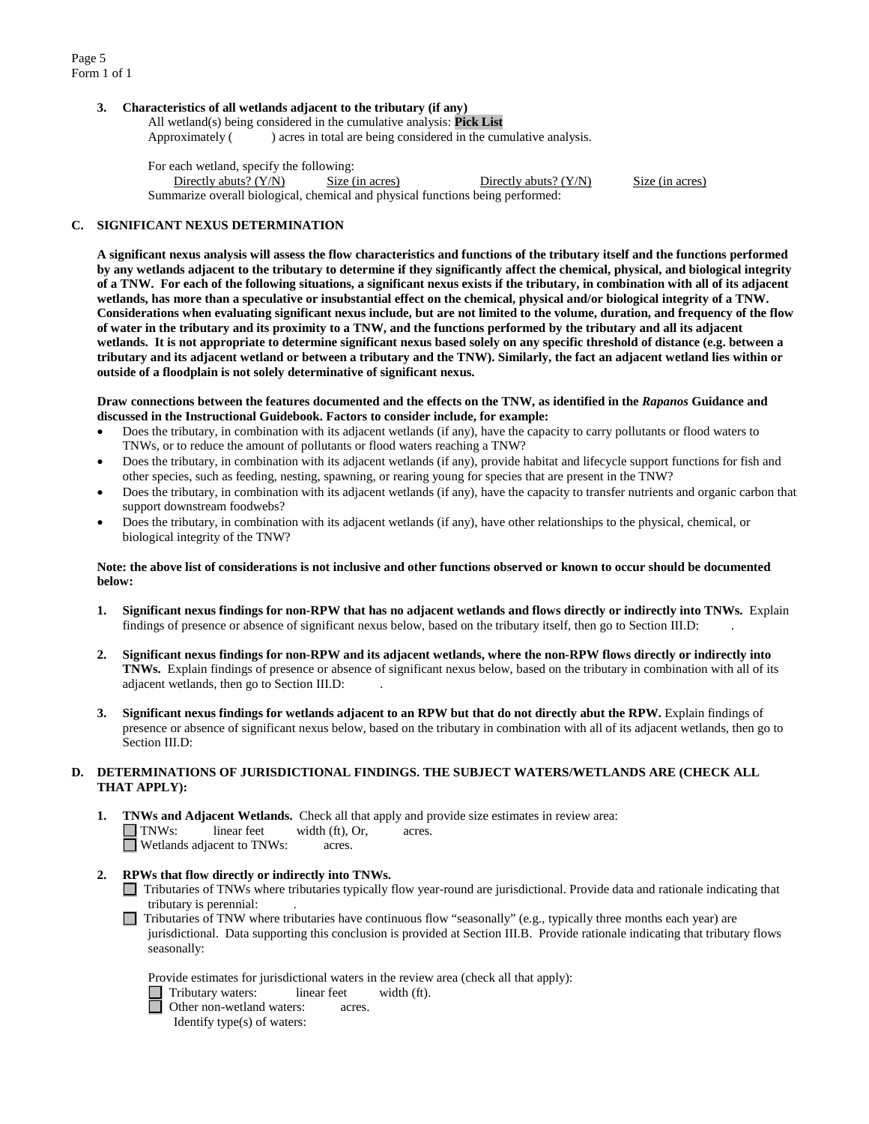Page 5 Form 1 of 1

## **3. Characteristics of all wetlands adjacent to the tributary (if any)**

All wetland(s) being considered in the cumulative analysis: **Pick List** Approximately ( ) acres in total are being considered in the cumulative analysis.

For each wetland, specify the following: Directly abuts? (Y/N) Size (in acres) Directly abuts? (Y/N) Size (in acres) Summarize overall biological, chemical and physical functions being performed:

#### **C. SIGNIFICANT NEXUS DETERMINATION**

**A significant nexus analysis will assess the flow characteristics and functions of the tributary itself and the functions performed by any wetlands adjacent to the tributary to determine if they significantly affect the chemical, physical, and biological integrity of a TNW. For each of the following situations, a significant nexus exists if the tributary, in combination with all of its adjacent wetlands, has more than a speculative or insubstantial effect on the chemical, physical and/or biological integrity of a TNW. Considerations when evaluating significant nexus include, but are not limited to the volume, duration, and frequency of the flow of water in the tributary and its proximity to a TNW, and the functions performed by the tributary and all its adjacent wetlands. It is not appropriate to determine significant nexus based solely on any specific threshold of distance (e.g. between a tributary and its adjacent wetland or between a tributary and the TNW). Similarly, the fact an adjacent wetland lies within or outside of a floodplain is not solely determinative of significant nexus.** 

### **Draw connections between the features documented and the effects on the TNW, as identified in the** *Rapanos* **Guidance and discussed in the Instructional Guidebook. Factors to consider include, for example:**

- Does the tributary, in combination with its adjacent wetlands (if any), have the capacity to carry pollutants or flood waters to TNWs, or to reduce the amount of pollutants or flood waters reaching a TNW?
- Does the tributary, in combination with its adjacent wetlands (if any), provide habitat and lifecycle support functions for fish and other species, such as feeding, nesting, spawning, or rearing young for species that are present in the TNW?
- Does the tributary, in combination with its adjacent wetlands (if any), have the capacity to transfer nutrients and organic carbon that support downstream foodwebs?
- Does the tributary, in combination with its adjacent wetlands (if any), have other relationships to the physical, chemical, or biological integrity of the TNW?

#### **Note: the above list of considerations is not inclusive and other functions observed or known to occur should be documented below:**

- **1. Significant nexus findings for non-RPW that has no adjacent wetlands and flows directly or indirectly into TNWs.** Explain findings of presence or absence of significant nexus below, based on the tributary itself, then go to Section III.D: .
- **2. Significant nexus findings for non-RPW and its adjacent wetlands, where the non-RPW flows directly or indirectly into TNWs.** Explain findings of presence or absence of significant nexus below, based on the tributary in combination with all of its adjacent wetlands, then go to Section III.D: .
- **3. Significant nexus findings for wetlands adjacent to an RPW but that do not directly abut the RPW.** Explain findings of presence or absence of significant nexus below, based on the tributary in combination with all of its adjacent wetlands, then go to Section III.D:

## **D. DETERMINATIONS OF JURISDICTIONAL FINDINGS. THE SUBJECT WATERS/WETLANDS ARE (CHECK ALL THAT APPLY):**

- **1. TNWs and Adjacent Wetlands.** Check all that apply and provide size estimates in review area: TNWs: linear feet width (ft), Or, acres. Wetlands adjacent to TNWs: acres.
- **2. RPWs that flow directly or indirectly into TNWs.**
	- Tributaries of TNWs where tributaries typically flow year-round are jurisdictional. Provide data and rationale indicating that tributary is perennial: .
	- Tributaries of TNW where tributaries have continuous flow "seasonally" (e.g., typically three months each year) are jurisdictional. Data supporting this conclusion is provided at Section III.B. Provide rationale indicating that tributary flows seasonally:

Provide estimates for jurisdictional waters in the review area (check all that apply):

- Tributary waters: linear feet width (ft).
- **d** Other non-wetland waters: acres.

Identify type(s) of waters: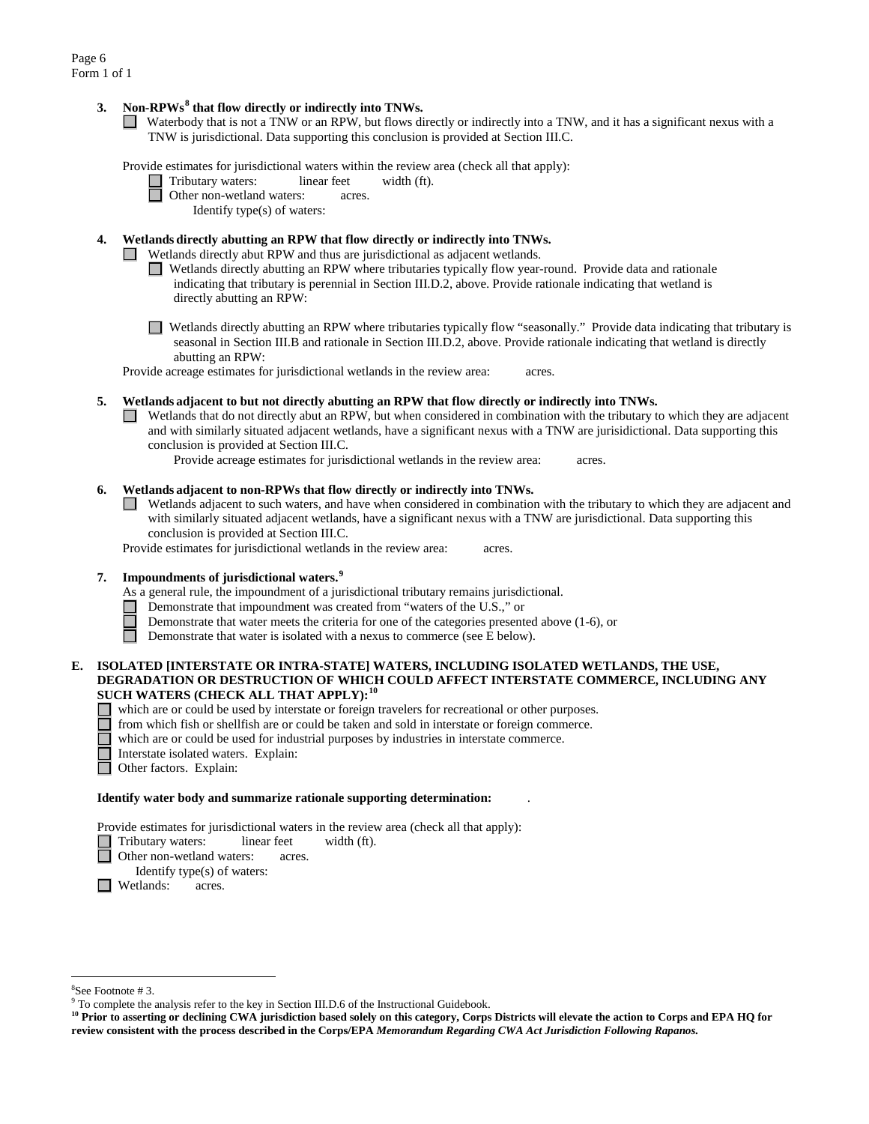## **3. Non-RPWs[8](#page-5-0) that flow directly or indirectly into TNWs.**

Waterbody that is not a TNW or an RPW, but flows directly or indirectly into a TNW, and it has a significant nexus with a TNW is jurisdictional. Data supporting this conclusion is provided at Section III.C.

Provide estimates for jurisdictional waters within the review area (check all that apply):

- Tributary waters: linear feet width (ft).
- Other non-wetland waters: acres.
	- Identify type(s) of waters:

## **4. Wetlands directly abutting an RPW that flow directly or indirectly into TNWs.**

Wetlands directly abut RPW and thus are jurisdictional as adjacent wetlands.

- Wetlands directly abutting an RPW where tributaries typically flow year-round. Provide data and rationale indicating that tributary is perennial in Section III.D.2, above. Provide rationale indicating that wetland is directly abutting an RPW:
- Wetlands directly abutting an RPW where tributaries typically flow "seasonally." Provide data indicating that tributary is seasonal in Section III.B and rationale in Section III.D.2, above. Provide rationale indicating that wetland is directly abutting an RPW:

Provide acreage estimates for jurisdictional wetlands in the review area: acres.

#### **5. Wetlands adjacent to but not directly abutting an RPW that flow directly or indirectly into TNWs.**

 $\Box$  Wetlands that do not directly abut an RPW, but when considered in combination with the tributary to which they are adjacent and with similarly situated adjacent wetlands, have a significant nexus with a TNW are jurisidictional. Data supporting this conclusion is provided at Section III.C.

Provide acreage estimates for jurisdictional wetlands in the review area: acres.

## **6. Wetlands adjacent to non-RPWs that flow directly or indirectly into TNWs.**

Wetlands adjacent to such waters, and have when considered in combination with the tributary to which they are adjacent and with similarly situated adjacent wetlands, have a significant nexus with a TNW are jurisdictional. Data supporting this conclusion is provided at Section III.C.

Provide estimates for jurisdictional wetlands in the review area: acres.

## **7. Impoundments of jurisdictional waters. [9](#page-5-1)**

As a general rule, the impoundment of a jurisdictional tributary remains jurisdictional.

- Demonstrate that impoundment was created from "waters of the U.S.," or
- Demonstrate that water meets the criteria for one of the categories presented above (1-6), or
- $\Box$ Demonstrate that water is isolated with a nexus to commerce (see E below).

## **E. ISOLATED [INTERSTATE OR INTRA-STATE] WATERS, INCLUDING ISOLATED WETLANDS, THE USE, DEGRADATION OR DESTRUCTION OF WHICH COULD AFFECT INTERSTATE COMMERCE, INCLUDING ANY SUCH WATERS (CHECK ALL THAT APPLY):[10](#page-5-2)**

- which are or could be used by interstate or foreign travelers for recreational or other purposes.
- from which fish or shellfish are or could be taken and sold in interstate or foreign commerce.
- which are or could be used for industrial purposes by industries in interstate commerce.
- Interstate isolated waters.Explain:
- Other factors.Explain:

#### **Identify water body and summarize rationale supporting determination:** .

Provide estimates for jurisdictional waters in the review area (check all that apply):

□ Tributary waters: linear feet width (ft).

- Other non-wetland waters: acres.
- Identify type(s) of waters:
- **I** Wetlands: acres.

 <sup>8</sup>

<span id="page-5-0"></span> ${}^{8}$ See Footnote # 3.<br>9 To complete the analysis refer to the key in Section III.D.6 of the Instructional Guidebook.

<span id="page-5-2"></span><span id="page-5-1"></span>**<sup>10</sup> Prior to asserting or declining CWA jurisdiction based solely on this category, Corps Districts will elevate the action to Corps and EPA HQ for review consistent with the process described in the Corps/EPA** *Memorandum Regarding CWA Act Jurisdiction Following Rapanos.*